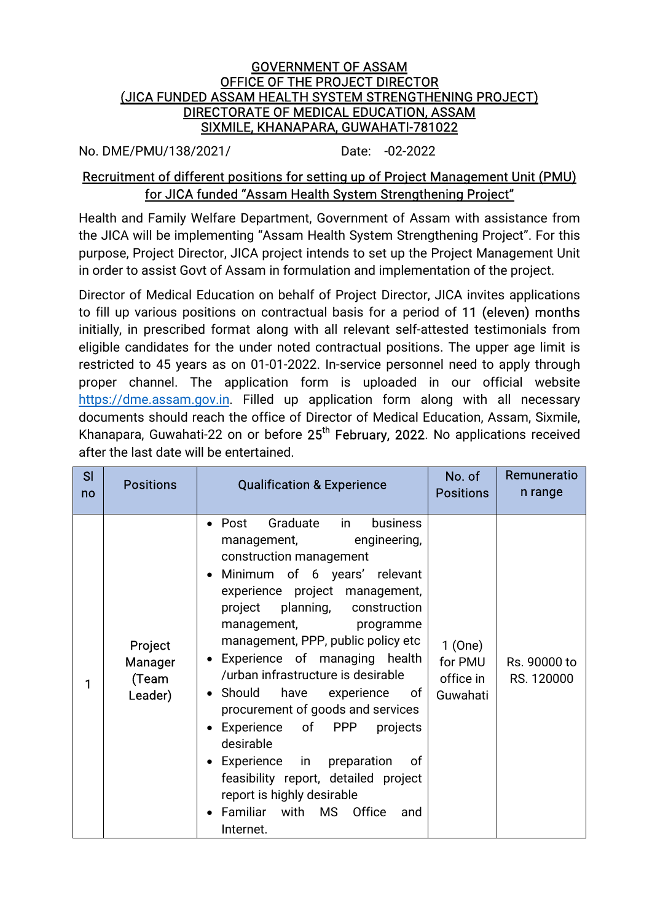## **GOVERNMENT OF ASSAM** OFFICE OF THE PROJECT DIRECTOR (JICA FUNDED ASSAM HEALTH SYSTEM STRENGTHENING PROJECT) DIRECTORATE OF MEDICAL EDUCATION, ASSAM SIXMILE, KHANAPARA, GUWAHATI-781022

No.DME/PMU/138/2021/ Date: -02-2022

## Recruitment of different positions for setting up of Project Management Unit (PMU) for JICA funded "Assam Health System Strengthening Project"

Health and Family Welfare Department, Government of Assam with assistance from the JICA will be implementing "Assam Health System Strengthening Project". For this purpose, Project Director, JICA project intends to set up the Project Management Unit in order to assist Govt of Assam in formulation and implementation of the project.

Director of Medical Education on behalf of Project Director, JICA invites applications to fill up various positions on contractual basis for a period of 11 (eleven) months initially, in prescribed format along with all relevant self-attested testimonials from eligible candidates for the under noted contractual positions. The upper age limit is restricted to 45 years as on 01-01-2022. In-service personnel need to apply through proper channel. The application form is uploaded in our official website https://dme.assam.gov.in. Filled up application form along with all necessary documents should reach the office of Director of Medical Education, Assam, Sixmile, Khanapara, Guwahati-22 on or before 25<sup>th</sup> February, 2022. No applications received after the last date will be entertained.

| SI<br>no | <b>Positions</b>                              | <b>Qualification &amp; Experience</b>                                                                                                                                                                                                                                                                                                                                                                                                                                                                                                                                                                                                                                                             | No. of<br><b>Positions</b>                 | Remuneratio<br>n range     |
|----------|-----------------------------------------------|---------------------------------------------------------------------------------------------------------------------------------------------------------------------------------------------------------------------------------------------------------------------------------------------------------------------------------------------------------------------------------------------------------------------------------------------------------------------------------------------------------------------------------------------------------------------------------------------------------------------------------------------------------------------------------------------------|--------------------------------------------|----------------------------|
| 1        | Project<br><b>Manager</b><br>(Team<br>Leader) | Graduate<br>$\bullet$ Post<br>business<br>in<br>engineering,<br>management,<br>construction management<br>Minimum of 6 years' relevant<br>$\bullet$<br>experience project management,<br>planning,<br>construction<br>project<br>management,<br>programme<br>management, PPP, public policy etc<br>• Experience of managing health<br>/urban infrastructure is desirable<br>• Should<br>have<br>experience<br>— of ⊦<br>procurement of goods and services<br>PPP<br>Experience of<br>projects<br>$\bullet$<br>desirable<br>Experience in<br>preparation<br>of<br>$\bullet$<br>feasibility report, detailed project<br>report is highly desirable<br>• Familiar with MS Office<br>and<br>Internet. | 1(One)<br>for PMU<br>office in<br>Guwahati | Rs. 90000 to<br>RS. 120000 |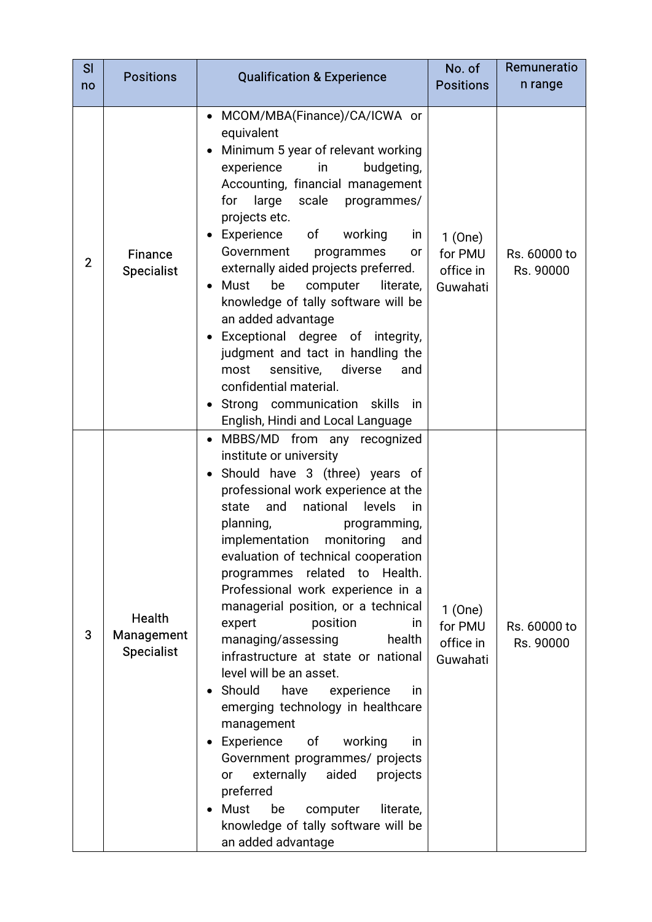| SI<br>no       | <b>Positions</b>                                 | <b>Qualification &amp; Experience</b>                                                                                                                                                                                                                                                                                                                                                                                                                                                                                                                                                                                                                                                                                                                                                                                                                                      | No. of<br><b>Positions</b>                 | Remuneratio<br>n range    |  |
|----------------|--------------------------------------------------|----------------------------------------------------------------------------------------------------------------------------------------------------------------------------------------------------------------------------------------------------------------------------------------------------------------------------------------------------------------------------------------------------------------------------------------------------------------------------------------------------------------------------------------------------------------------------------------------------------------------------------------------------------------------------------------------------------------------------------------------------------------------------------------------------------------------------------------------------------------------------|--------------------------------------------|---------------------------|--|
| $\overline{2}$ | <b>Finance</b><br><b>Specialist</b>              | MCOM/MBA(Finance)/CA/ICWA or<br>equivalent<br>Minimum 5 year of relevant working<br>experience<br>budgeting,<br>in<br>Accounting, financial management<br>for large scale<br>programmes/<br>projects etc.<br>Experience<br>of<br>working<br>in<br>Government<br>programmes<br>or<br>externally aided projects preferred.<br>Must<br>be<br>computer<br>literate,<br>$\bullet$<br>knowledge of tally software will be<br>an added advantage<br>Exceptional degree of integrity,<br>$\bullet$<br>judgment and tact in handling the<br>sensitive,<br>diverse<br>most<br>and<br>confidential material.<br>Strong communication skills in<br>English, Hindi and Local Language                                                                                                                                                                                                   | 1(One)<br>for PMU<br>office in<br>Guwahati | Rs. 60000 to<br>Rs. 90000 |  |
| 3              | <b>Health</b><br>Management<br><b>Specialist</b> | MBBS/MD from any recognized<br>institute or university<br>Should have 3 (three) years of<br>professional work experience at the<br>and<br>national<br>levels<br>state<br>in<br>programming,<br>planning,<br>implementation<br>monitoring<br>and<br>evaluation of technical cooperation<br>programmes related to Health.<br>Professional work experience in a<br>managerial position, or a technical<br>expert<br>position<br>in.<br>managing/assessing<br>health<br>infrastructure at state or national<br>level will be an asset.<br>Should<br>have<br>experience<br>in<br>emerging technology in healthcare<br>management<br>Experience<br>of<br>working<br>in<br>Government programmes/ projects<br>externally<br>aided<br>projects<br>or<br>preferred<br>Must<br>be<br>literate,<br>computer<br>$\bullet$<br>knowledge of tally software will be<br>an added advantage | 1(One)<br>for PMU<br>office in<br>Guwahati | Rs. 60000 to<br>Rs. 90000 |  |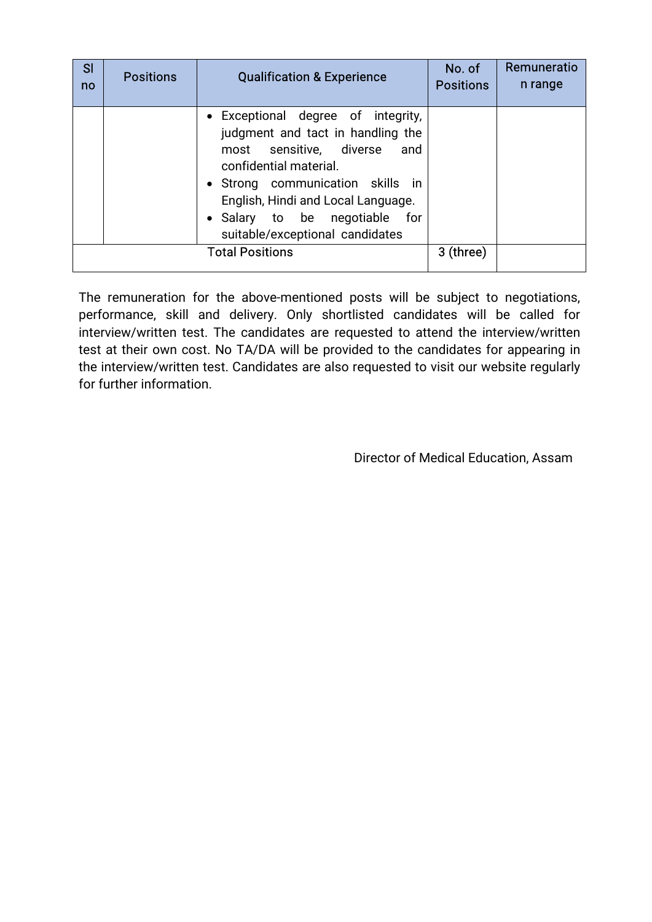| SI<br>no | <b>Positions</b> | <b>Qualification &amp; Experience</b>                                                                                                                                                                                                                                          | No. of<br><b>Positions</b> | Remuneratio<br>n range |
|----------|------------------|--------------------------------------------------------------------------------------------------------------------------------------------------------------------------------------------------------------------------------------------------------------------------------|----------------------------|------------------------|
|          |                  | • Exceptional degree of integrity,<br>judgment and tact in handling the<br>most sensitive, diverse and<br>confidential material.<br>• Strong communication skills in<br>English, Hindi and Local Language.<br>• Salary to be negotiable for<br>suitable/exceptional candidates |                            |                        |
|          |                  | <b>Total Positions</b>                                                                                                                                                                                                                                                         | 3 (three)                  |                        |

The remuneration for the above-mentioned posts will be subject to negotiations, performance, skill and delivery. Only shortlisted candidates will be called for interview/written test. The candidates are requested to attend the interview/written test at their own cost. No TA/DA will be provided to the candidates for appearing in the interview/written test. Candidates are also requested to visit our website regularly for further information.

Director of Medical Education, Assam